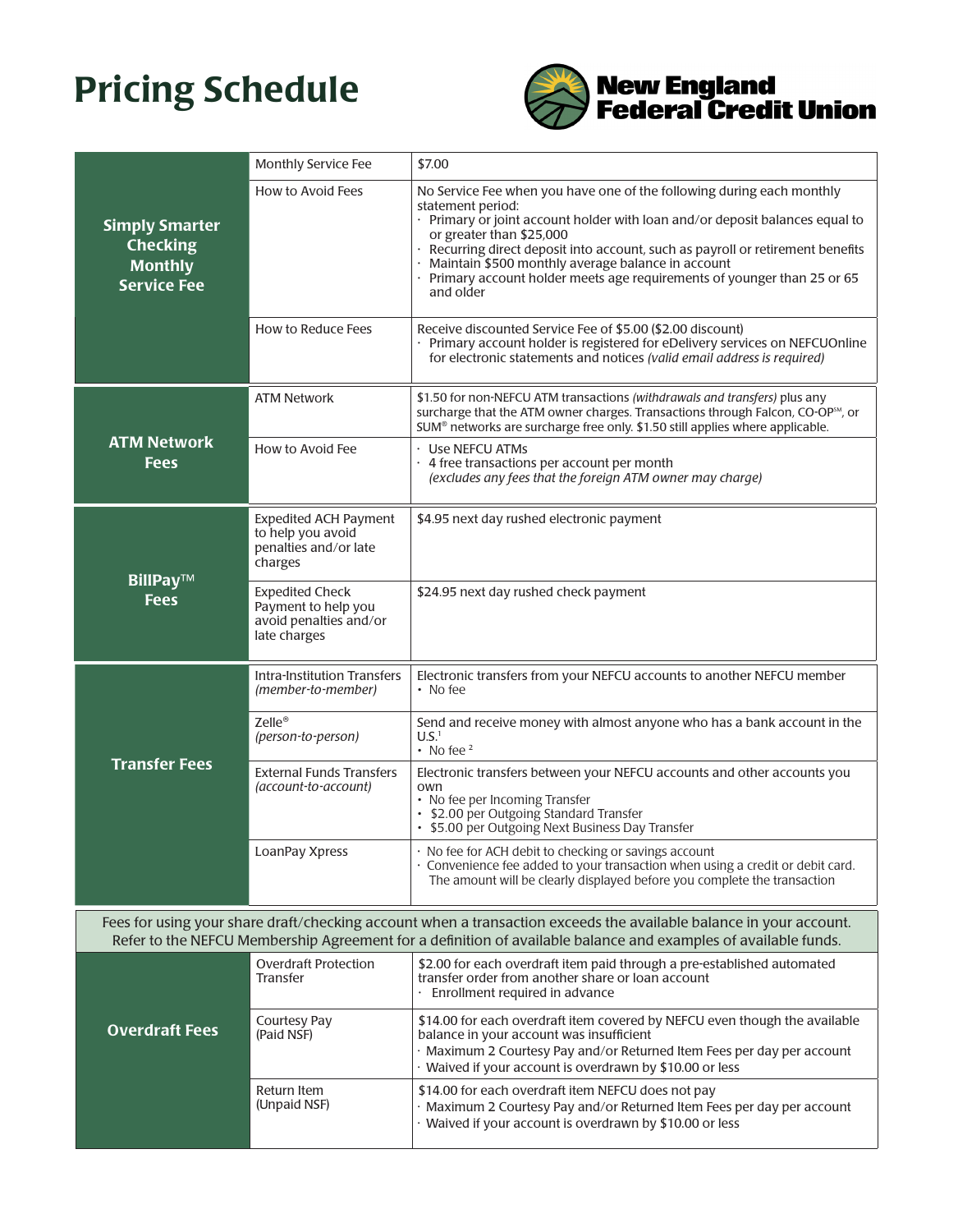## Pricing Schedule



| <b>Simply Smarter</b><br><b>Checking</b><br><b>Monthly</b><br><b>Service Fee</b>                                                                                                                                                     | Monthly Service Fee                                                                     | \$7.00                                                                                                                                                                                                                                                                                                                                                                                                                              |  |
|--------------------------------------------------------------------------------------------------------------------------------------------------------------------------------------------------------------------------------------|-----------------------------------------------------------------------------------------|-------------------------------------------------------------------------------------------------------------------------------------------------------------------------------------------------------------------------------------------------------------------------------------------------------------------------------------------------------------------------------------------------------------------------------------|--|
|                                                                                                                                                                                                                                      | How to Avoid Fees                                                                       | No Service Fee when you have one of the following during each monthly<br>statement period:<br>· Primary or joint account holder with loan and/or deposit balances equal to<br>or greater than \$25,000<br>Recurring direct deposit into account, such as payroll or retirement benefits<br>Maintain \$500 monthly average balance in account<br>Primary account holder meets age requirements of younger than 25 or 65<br>and older |  |
|                                                                                                                                                                                                                                      | How to Reduce Fees                                                                      | Receive discounted Service Fee of \$5.00 (\$2.00 discount)<br>Primary account holder is registered for eDelivery services on NEFCUOnline<br>for electronic statements and notices (valid email address is required)                                                                                                                                                                                                                 |  |
| <b>ATM Network</b><br><b>Fees</b>                                                                                                                                                                                                    | <b>ATM Network</b>                                                                      | \$1.50 for non-NEFCU ATM transactions (withdrawals and transfers) plus any<br>surcharge that the ATM owner charges. Transactions through Falcon, CO-OP <sup>5M</sup> , or<br>SUM <sup>®</sup> networks are surcharge free only. \$1.50 still applies where applicable.                                                                                                                                                              |  |
|                                                                                                                                                                                                                                      | How to Avoid Fee                                                                        | · Use NEFCU ATMs<br>· 4 free transactions per account per month<br>(excludes any fees that the foreign ATM owner may charge)                                                                                                                                                                                                                                                                                                        |  |
| BillPay™<br><b>Fees</b>                                                                                                                                                                                                              | <b>Expedited ACH Payment</b><br>to help you avoid<br>penalties and/or late<br>charges   | \$4.95 next day rushed electronic payment                                                                                                                                                                                                                                                                                                                                                                                           |  |
|                                                                                                                                                                                                                                      | <b>Expedited Check</b><br>Payment to help you<br>avoid penalties and/or<br>late charges | \$24.95 next day rushed check payment                                                                                                                                                                                                                                                                                                                                                                                               |  |
| <b>Transfer Fees</b>                                                                                                                                                                                                                 | Intra-Institution Transfers<br>(member-to-member)                                       | Electronic transfers from your NEFCU accounts to another NEFCU member<br>$\cdot$ No fee                                                                                                                                                                                                                                                                                                                                             |  |
|                                                                                                                                                                                                                                      | Zelle®<br>(person-to-person)                                                            | Send and receive money with almost anyone who has a bank account in the<br>U.S. <sup>1</sup><br>• No fee $2$                                                                                                                                                                                                                                                                                                                        |  |
|                                                                                                                                                                                                                                      | <b>External Funds Transfers</b><br>(account-to-account)                                 | Electronic transfers between your NEFCU accounts and other accounts you<br>own<br>• No fee per Incoming Transfer<br>• \$2.00 per Outgoing Standard Transfer<br>• \$5.00 per Outgoing Next Business Day Transfer                                                                                                                                                                                                                     |  |
|                                                                                                                                                                                                                                      | LoanPay Xpress                                                                          | · No fee for ACH debit to checking or savings account<br>· Convenience fee added to your transaction when using a credit or debit card.<br>The amount will be clearly displayed before you complete the transaction                                                                                                                                                                                                                 |  |
| Fees for using your share draft/checking account when a transaction exceeds the available balance in your account.<br>Refer to the NEFCU Membership Agreement for a definition of available balance and examples of available funds. |                                                                                         |                                                                                                                                                                                                                                                                                                                                                                                                                                     |  |
| <b>Overdraft Fees</b>                                                                                                                                                                                                                | <b>Overdraft Protection</b><br>Transfer                                                 | \$2.00 for each overdraft item paid through a pre-established automated<br>transfer order from another share or loan account<br>· Enrollment required in advance                                                                                                                                                                                                                                                                    |  |
|                                                                                                                                                                                                                                      | Courtesy Pay<br>(Paid NSF)                                                              | \$14.00 for each overdraft item covered by NEFCU even though the available<br>balance in your account was insufficient<br>· Maximum 2 Courtesy Pay and/or Returned Item Fees per day per account<br>· Waived if your account is overdrawn by \$10.00 or less                                                                                                                                                                        |  |
|                                                                                                                                                                                                                                      | Return Item<br>(Unpaid NSF)                                                             | \$14.00 for each overdraft item NEFCU does not pay<br>· Maximum 2 Courtesy Pay and/or Returned Item Fees per day per account<br>· Waived if your account is overdrawn by \$10.00 or less                                                                                                                                                                                                                                            |  |